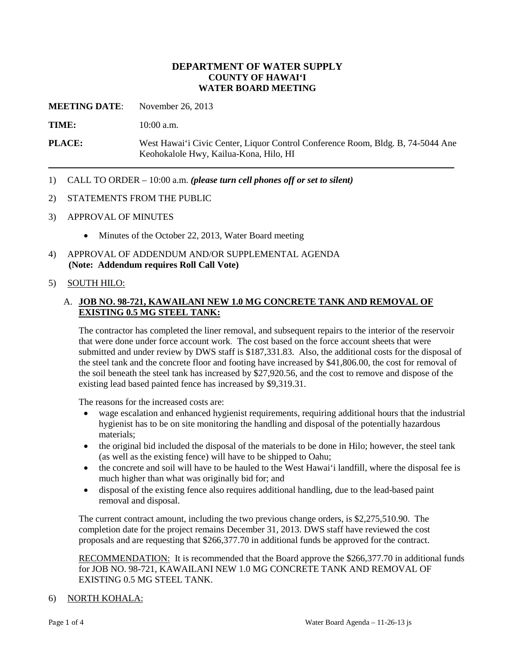## **DEPARTMENT OF WATER SUPPLY COUNTY OF HAWAI'I WATER BOARD MEETING**

**MEETING DATE**: November 26, 2013

**TIME:** 10:00 a.m.

**PLACE:** West Hawai'i Civic Center, Liquor Control Conference Room, Bldg. B, 74-5044 Ane Keohokalole Hwy, Kailua-Kona, Hilo, HI

- 1) CALL TO ORDER 10:00 a.m. *(please turn cell phones off or set to silent)*
- 2) STATEMENTS FROM THE PUBLIC
- 3) APPROVAL OF MINUTES
	- Minutes of the October 22, 2013, Water Board meeting
- 4) APPROVAL OF ADDENDUM AND/OR SUPPLEMENTAL AGENDA **(Note: Addendum requires Roll Call Vote)**

#### 5) SOUTH HILO:

## A. **JOB NO. 98-721, KAWAILANI NEW 1.0 MG CONCRETE TANK AND REMOVAL OF EXISTING 0.5 MG STEEL TANK:**

The contractor has completed the liner removal, and subsequent repairs to the interior of the reservoir that were done under force account work. The cost based on the force account sheets that were submitted and under review by DWS staff is \$187,331.83. Also, the additional costs for the disposal of the steel tank and the concrete floor and footing have increased by \$41,806.00, the cost for removal of the soil beneath the steel tank has increased by \$27,920.56, and the cost to remove and dispose of the existing lead based painted fence has increased by \$9,319.31.

The reasons for the increased costs are:

- wage escalation and enhanced hygienist requirements, requiring additional hours that the industrial hygienist has to be on site monitoring the handling and disposal of the potentially hazardous materials;
- the original bid included the disposal of the materials to be done in Hilo; however, the steel tank (as well as the existing fence) will have to be shipped to Oahu;
- the concrete and soil will have to be hauled to the West Hawai'i landfill, where the disposal fee is much higher than what was originally bid for; and
- disposal of the existing fence also requires additional handling, due to the lead-based paint removal and disposal.

The current contract amount, including the two previous change orders, is \$2,275,510.90. The completion date for the project remains December 31, 2013. DWS staff have reviewed the cost proposals and are requesting that \$266,377.70 in additional funds be approved for the contract.

RECOMMENDATION: It is recommended that the Board approve the \$266,377.70 in additional funds for JOB NO. 98-721, KAWAILANI NEW 1.0 MG CONCRETE TANK AND REMOVAL OF EXISTING 0.5 MG STEEL TANK.

#### 6) NORTH KOHALA: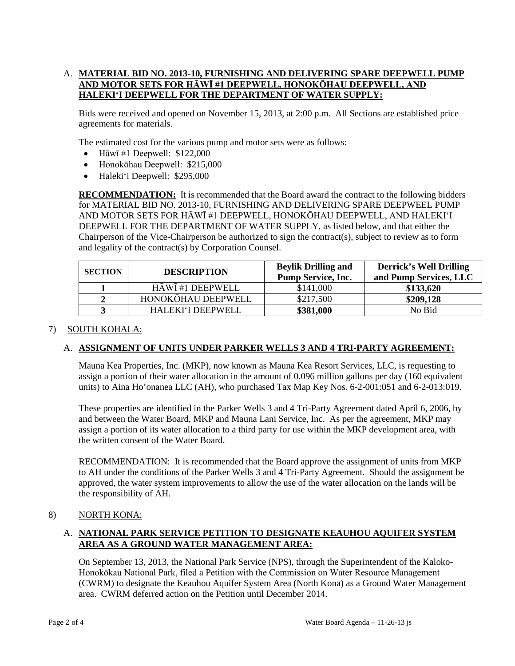# A. **MATERIAL BID NO. 2013-10, FURNISHING AND DELIVERING SPARE DEEPWELL PUMP AND MOTOR SETS FOR HĀWĪ #1 DEEPWELL, HONOKŌHAU DEEPWELL, AND HALEKI'I DEEPWELL FOR THE DEPARTMENT OF WATER SUPPLY:**

Bids were received and opened on November 15, 2013, at 2:00 p.m. All Sections are established price agreements for materials.

The estimated cost for the various pump and motor sets were as follows:

- Hāwī #1 Deepwell:  $$122,000$
- Honokōhau Deepwell: \$215,000
- Haleki'i Deepwell: \$295,000

**RECOMMENDATION:** It is recommended that the Board award the contract to the following bidders for MATERIAL BID NO. 2013-10, FURNISHING AND DELIVERING SPARE DEEPWEEL PUMP AND MOTOR SETS FOR HĀWĪ #1 DEEPWELL, HONOKŌHAU DEEPWELL, AND HALEKI'I DEEPWELL FOR THE DEPARTMENT OF WATER SUPPLY, as listed below, and that either the Chairperson of the Vice-Chairperson be authorized to sign the contract(s), subject to review as to form and legality of the contract(s) by Corporation Counsel.

| <b>SECTION</b> | <b>DESCRIPTION</b> | <b>Beylik Drilling and</b> | <b>Derrick's Well Drilling</b> |
|----------------|--------------------|----------------------------|--------------------------------|
|                |                    | <b>Pump Service, Inc.</b>  | and Pump Services, LLC         |
|                | HĀWĪ #1 DEEPWELL   | \$141,000                  | \$133,620                      |
|                | HONOKŌHAU DEEPWELL | \$217,500                  | \$209,128                      |
|                | HALEKI'I DEEPWELL  | \$381,000                  | No Bid                         |

#### 7) SOUTH KOHALA:

# A. **ASSIGNMENT OF UNITS UNDER PARKER WELLS 3 AND 4 TRI-PARTY AGREEMENT:**

Mauna Kea Properties, Inc. (MKP), now known as Mauna Kea Resort Services, LLC, is requesting to assign a portion of their water allocation in the amount of 0.096 million gallons per day (160 equivalent units) to Aina Ho'onanea LLC (AH), who purchased Tax Map Key Nos. 6-2-001:051 and 6-2-013:019.

These properties are identified in the Parker Wells 3 and 4 Tri-Party Agreement dated April 6, 2006, by and between the Water Board, MKP and Mauna Lani Service, Inc. As per the agreement, MKP may assign a portion of its water allocation to a third party for use within the MKP development area, with the written consent of the Water Board.

RECOMMENDATION: It is recommended that the Board approve the assignment of units from MKP to AH under the conditions of the Parker Wells 3 and 4 Tri-Party Agreement. Should the assignment be approved, the water system improvements to allow the use of the water allocation on the lands will be the responsibility of AH.

## 8) NORTH KONA:

# A. **NATIONAL PARK SERVICE PETITION TO DESIGNATE KEAUHOU AQUIFER SYSTEM AREA AS A GROUND WATER MANAGEMENT AREA:**

On September 13, 2013, the National Park Service (NPS), through the Superintendent of the Kaloko-Honokōkau National Park, filed a Petition with the Commission on Water Resource Management (CWRM) to designate the Keauhou Aquifer System Area (North Kona) as a Ground Water Management area. CWRM deferred action on the Petition until December 2014.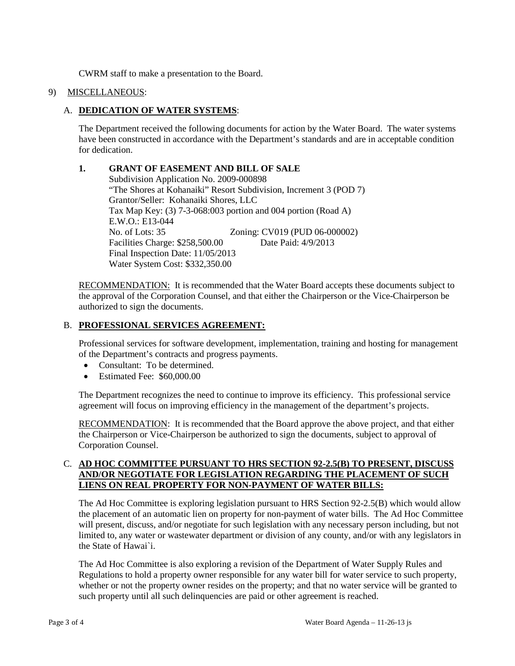CWRM staff to make a presentation to the Board.

#### 9) MISCELLANEOUS:

#### A. **DEDICATION OF WATER SYSTEMS**:

The Department received the following documents for action by the Water Board. The water systems have been constructed in accordance with the Department's standards and are in acceptable condition for dedication.

#### **1. GRANT OF EASEMENT AND BILL OF SALE**

Subdivision Application No. 2009-000898 "The Shores at Kohanaiki" Resort Subdivision, Increment 3 (POD 7) Grantor/Seller: Kohanaiki Shores, LLC Tax Map Key: (3) 7-3-068:003 portion and 004 portion (Road A) E.W.O.: E13-044 No. of Lots: 35 Zoning: CV019 (PUD 06-000002) Facilities Charge: \$258,500.00 Date Paid: 4/9/2013 Final Inspection Date: 11/05/2013 Water System Cost: \$332,350.00

RECOMMENDATION: It is recommended that the Water Board accepts these documents subject to the approval of the Corporation Counsel, and that either the Chairperson or the Vice-Chairperson be authorized to sign the documents.

#### B. **PROFESSIONAL SERVICES AGREEMENT:**

Professional services for software development, implementation, training and hosting for management of the Department's contracts and progress payments.

- Consultant: To be determined.
- Estimated Fee: \$60,000,00

The Department recognizes the need to continue to improve its efficiency. This professional service agreement will focus on improving efficiency in the management of the department's projects.

RECOMMENDATION: It is recommended that the Board approve the above project, and that either the Chairperson or Vice-Chairperson be authorized to sign the documents, subject to approval of Corporation Counsel.

## C. **AD HOC COMMITTEE PURSUANT TO HRS SECTION 92-2.5(B) TO PRESENT, DISCUSS AND/OR NEGOTIATE FOR LEGISLATION REGARDING THE PLACEMENT OF SUCH LIENS ON REAL PROPERTY FOR NON-PAYMENT OF WATER BILLS:**

The Ad Hoc Committee is exploring legislation pursuant to HRS Section 92-2.5(B) which would allow the placement of an automatic lien on property for non-payment of water bills. The Ad Hoc Committee will present, discuss, and/or negotiate for such legislation with any necessary person including, but not limited to, any water or wastewater department or division of any county, and/or with any legislators in the State of Hawai`i.

The Ad Hoc Committee is also exploring a revision of the Department of Water Supply Rules and Regulations to hold a property owner responsible for any water bill for water service to such property, whether or not the property owner resides on the property; and that no water service will be granted to such property until all such delinquencies are paid or other agreement is reached.